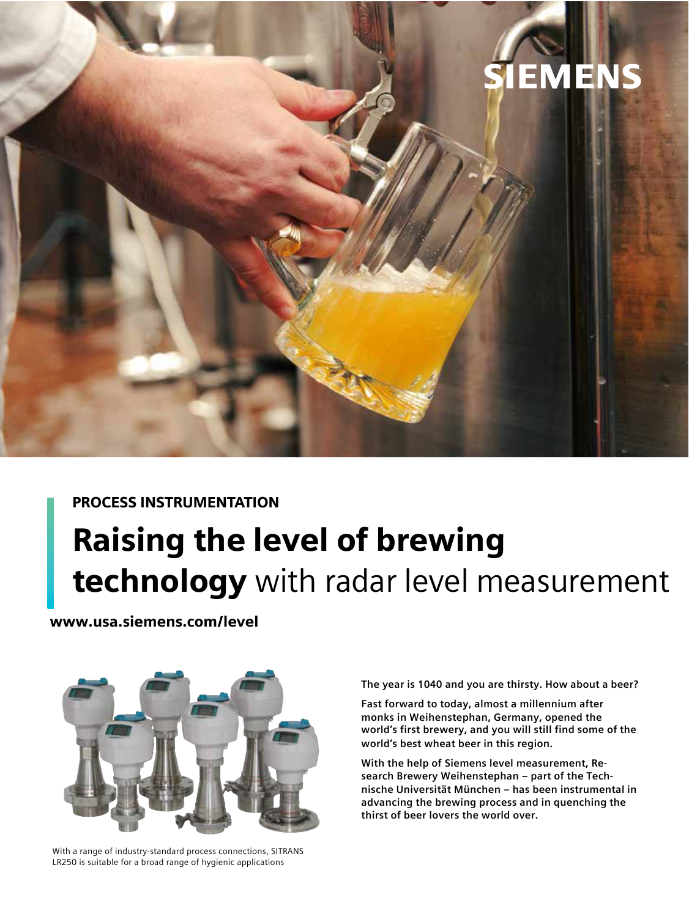

### PROCESS INSTRUMENTATION

# Raising the level of brewing technology with radar level measurement

www.usa.siemens.com/level



With a range of industry-standard process connections, SITRANS LR250 is suitable for a broad range of hygienic applications

**The year is 1040 and you are thirsty. How about a beer?** 

**Fast forward to today, almost a millennium after monks in Weihenstephan, Germany, opened the world's first brewery, and you will still find some of the world's best wheat beer in this region.** 

**With the help of Siemens level measurement, Research Brewery Weihenstephan – part of the Technische Universität München – has been instrumental in advancing the brewing process and in quenching the thirst of beer lovers the world over.**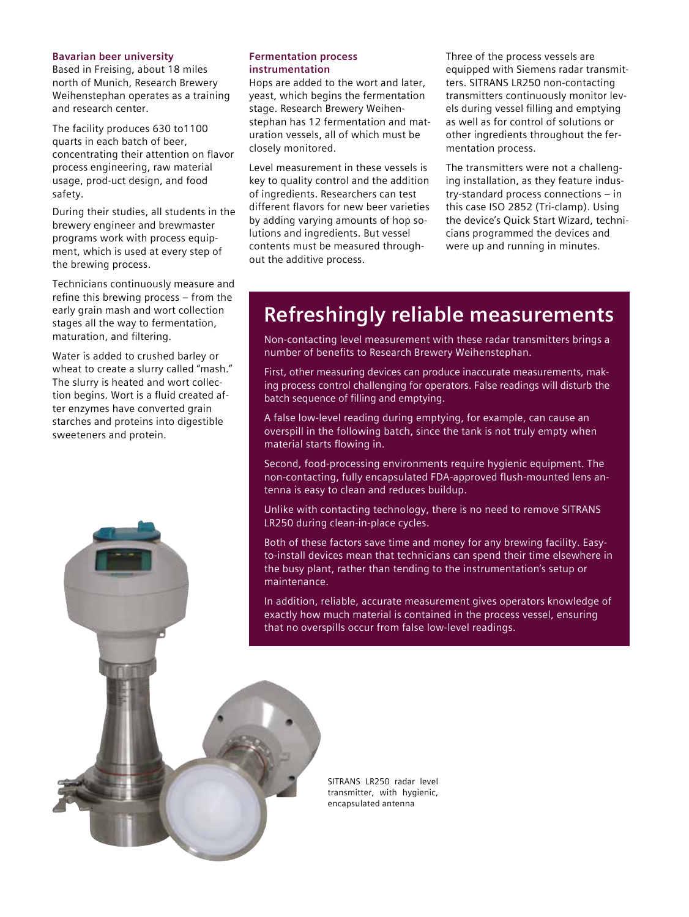#### **Bavarian beer university**

Based in Freising, about 18 miles north of Munich, Research Brewery Weihenstephan operates as a training and research center.

The facility produces 630 to1100 quarts in each batch of beer, concentrating their attention on flavor process engineering, raw material usage, prod-uct design, and food safety.

During their studies, all students in the brewery engineer and brewmaster programs work with process equipment, which is used at every step of the brewing process.

Technicians continuously measure and refine this brewing process – from the early grain mash and wort collection stages all the way to fermentation, maturation, and filtering.

Water is added to crushed barley or wheat to create a slurry called "mash." The slurry is heated and wort collection begins. Wort is a fluid created after enzymes have converted grain starches and proteins into digestible sweeteners and protein.

#### **Fermentation process instrumentation**

Hops are added to the wort and later, yeast, which begins the fermentation stage. Research Brewery Weihenstephan has 12 fermentation and maturation vessels, all of which must be closely monitored.

Level measurement in these vessels is key to quality control and the addition of ingredients. Researchers can test different flavors for new beer varieties by adding varying amounts of hop solutions and ingredients. But vessel contents must be measured throughout the additive process.

Three of the process vessels are equipped with Siemens radar transmitters. SITRANS LR250 non-contacting transmitters continuously monitor levels during vessel filling and emptying as well as for control of solutions or other ingredients throughout the fermentation process.

The transmitters were not a challenging installation, as they feature industry-standard process connections – in this case ISO 2852 (Tri-clamp). Using the device's Quick Start Wizard, technicians programmed the devices and were up and running in minutes.

## **Refreshingly reliable measurements**

Non-contacting level measurement with these radar transmitters brings a number of benefits to Research Brewery Weihenstephan.

First, other measuring devices can produce inaccurate measurements, making process control challenging for operators. False readings will disturb the batch sequence of filling and emptying.

A false low-level reading during emptying, for example, can cause an overspill in the following batch, since the tank is not truly empty when material starts flowing in.

Second, food-processing environments require hygienic equipment. The non-contacting, fully encapsulated FDA-approved flush-mounted lens antenna is easy to clean and reduces buildup.

Unlike with contacting technology, there is no need to remove SITRANS LR250 during clean-in-place cycles.

Both of these factors save time and money for any brewing facility. Easyto-install devices mean that technicians can spend their time elsewhere in the busy plant, rather than tending to the instrumentation's setup or maintenance.

In addition, reliable, accurate measurement gives operators knowledge of exactly how much material is contained in the process vessel, ensuring that no overspills occur from false low-level readings.

> SITRANS LR250 radar level transmitter, with hygienic, encapsulated antenna